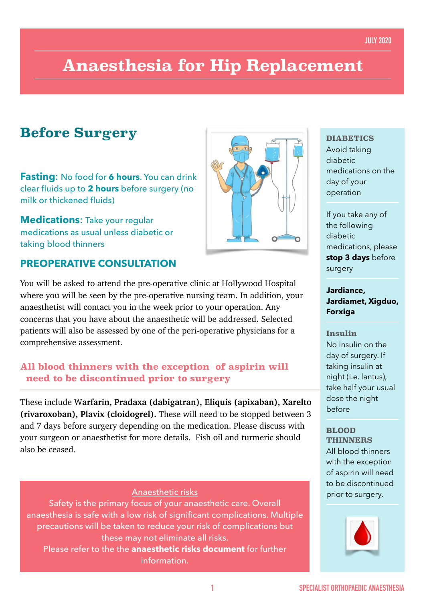# **Anaesthesia for Hip Replacement**

### **Before Surgery**

**Fasting**: No food for **6 hours**. You can drink clear fluids up to **2 hours** before surgery (no milk or thickened fluids)

**Medications**: Take your regular medications as usual unless diabetic or taking blood thinners

### **PREOPERATIVE CONSULTATION**

You will be asked to attend the pre-operative clinic at Hollywood Hospital where you will be seen by the pre-operative nursing team. In addition, your anaesthetist will contact you in the week prior to your operation. Any concerns that you have about the anaesthetic will be addressed. Selected patients will also be assessed by one of the peri-operative physicians for a comprehensive assessment.

### **All blood thinners with the exception of aspirin will need to be discontinued prior to surgery**

These include W**arfarin, Pradaxa (dabigatran), Eliquis (apixaban), Xarelto (rivaroxoban), Plavix (cloidogrel).** These will need to be stopped between 3 and 7 days before surgery depending on the medication. Please discuss with your surgeon or anaesthetist for more details. Fish oil and turmeric should also be ceased.

#### Anaesthetic risks prior to surgery.

Safety is the primary focus of your anaesthetic care. Overall anaesthesia is safe with a low risk of significant complications. Multiple precautions will be taken to reduce your risk of complications but these may not eliminate all risks.

Please refer to the the **anaesthetic risks document** for further information.



#### **DIABETICS**

Avoid taking diabetic medications on the day of your operation

If you take any of the following diabetic medications, please **stop 3 days** before surgery

#### **Jardiance, Jardiamet, Xigduo, Forxiga**

#### **Insulin**

No insulin on the day of surgery. If taking insulin at night (i.e. lantus), take half your usual dose the night before

#### **BLOOD THINNERS**

All blood thinners with the exception of aspirin will need to be discontinued